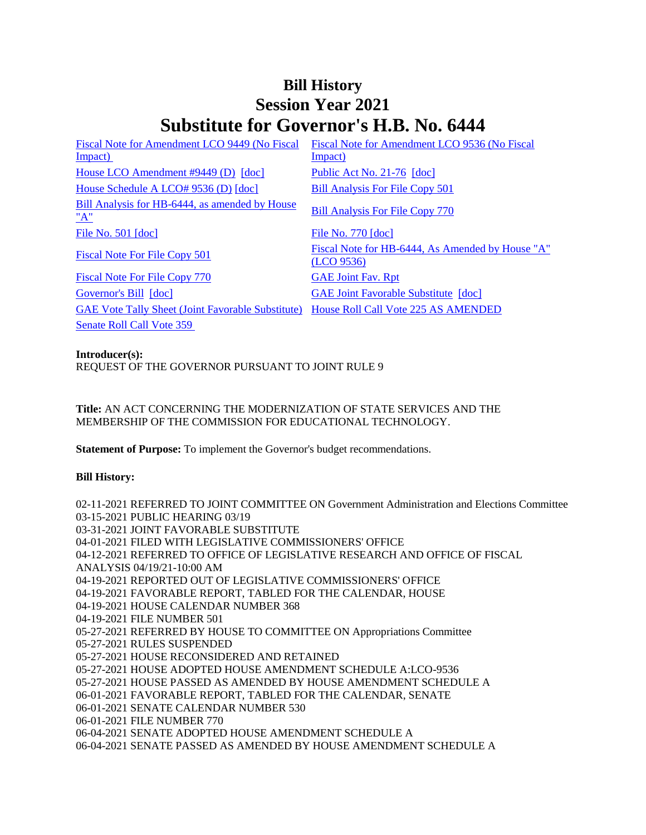## **Bill History Session Year 2021 Substitute for Governor's H.B. No. 6444**

| Fiscal Note for Amendment LCO 9449 (No Fiscal            | Fiscal Note for Amendment LCO 9536 (No Fiscal                  |
|----------------------------------------------------------|----------------------------------------------------------------|
| Impact)                                                  | Impact)                                                        |
| House LCO Amendment #9449 (D) [doc]                      | Public Act No. 21-76 [doc]                                     |
| House Schedule A LCO# 9536 (D) [doc]                     | <b>Bill Analysis For File Copy 501</b>                         |
| Bill Analysis for HB-6444, as amended by House<br>"A"    | <b>Bill Analysis For File Copy 770</b>                         |
| File No. $501$ [doc]                                     | File No. 770 [doc]                                             |
| Fiscal Note For File Copy 501                            | Fiscal Note for HB-6444, As Amended by House "A"<br>(LCO 9536) |
| <b>Fiscal Note For File Copy 770</b>                     | <b>GAE Joint Fav. Rpt</b>                                      |
| Governor's Bill [doc]                                    | <b>GAE Joint Favorable Substitute</b> [doc]                    |
| <b>GAE Vote Tally Sheet (Joint Favorable Substitute)</b> | House Roll Call Vote 225 AS AMENDED                            |
| Senate Roll Call Vote 359                                |                                                                |

**Introducer(s):**

REQUEST OF THE GOVERNOR PURSUANT TO JOINT RULE 9

**Title:** AN ACT CONCERNING THE MODERNIZATION OF STATE SERVICES AND THE MEMBERSHIP OF THE COMMISSION FOR EDUCATIONAL TECHNOLOGY.

**Statement of Purpose:** To implement the Governor's budget recommendations.

## **Bill History:**

02-11-2021 REFERRED TO JOINT COMMITTEE ON Government Administration and Elections Committee 03-15-2021 PUBLIC HEARING 03/19 03-31-2021 JOINT FAVORABLE SUBSTITUTE 04-01-2021 FILED WITH LEGISLATIVE COMMISSIONERS' OFFICE 04-12-2021 REFERRED TO OFFICE OF LEGISLATIVE RESEARCH AND OFFICE OF FISCAL ANALYSIS 04/19/21-10:00 AM 04-19-2021 REPORTED OUT OF LEGISLATIVE COMMISSIONERS' OFFICE 04-19-2021 FAVORABLE REPORT, TABLED FOR THE CALENDAR, HOUSE 04-19-2021 HOUSE CALENDAR NUMBER 368 04-19-2021 FILE NUMBER 501 05-27-2021 REFERRED BY HOUSE TO COMMITTEE ON Appropriations Committee 05-27-2021 RULES SUSPENDED 05-27-2021 HOUSE RECONSIDERED AND RETAINED 05-27-2021 HOUSE ADOPTED HOUSE AMENDMENT SCHEDULE A:LCO-9536 05-27-2021 HOUSE PASSED AS AMENDED BY HOUSE AMENDMENT SCHEDULE A 06-01-2021 FAVORABLE REPORT, TABLED FOR THE CALENDAR, SENATE 06-01-2021 SENATE CALENDAR NUMBER 530 06-01-2021 FILE NUMBER 770 06-04-2021 SENATE ADOPTED HOUSE AMENDMENT SCHEDULE A 06-04-2021 SENATE PASSED AS AMENDED BY HOUSE AMENDMENT SCHEDULE A